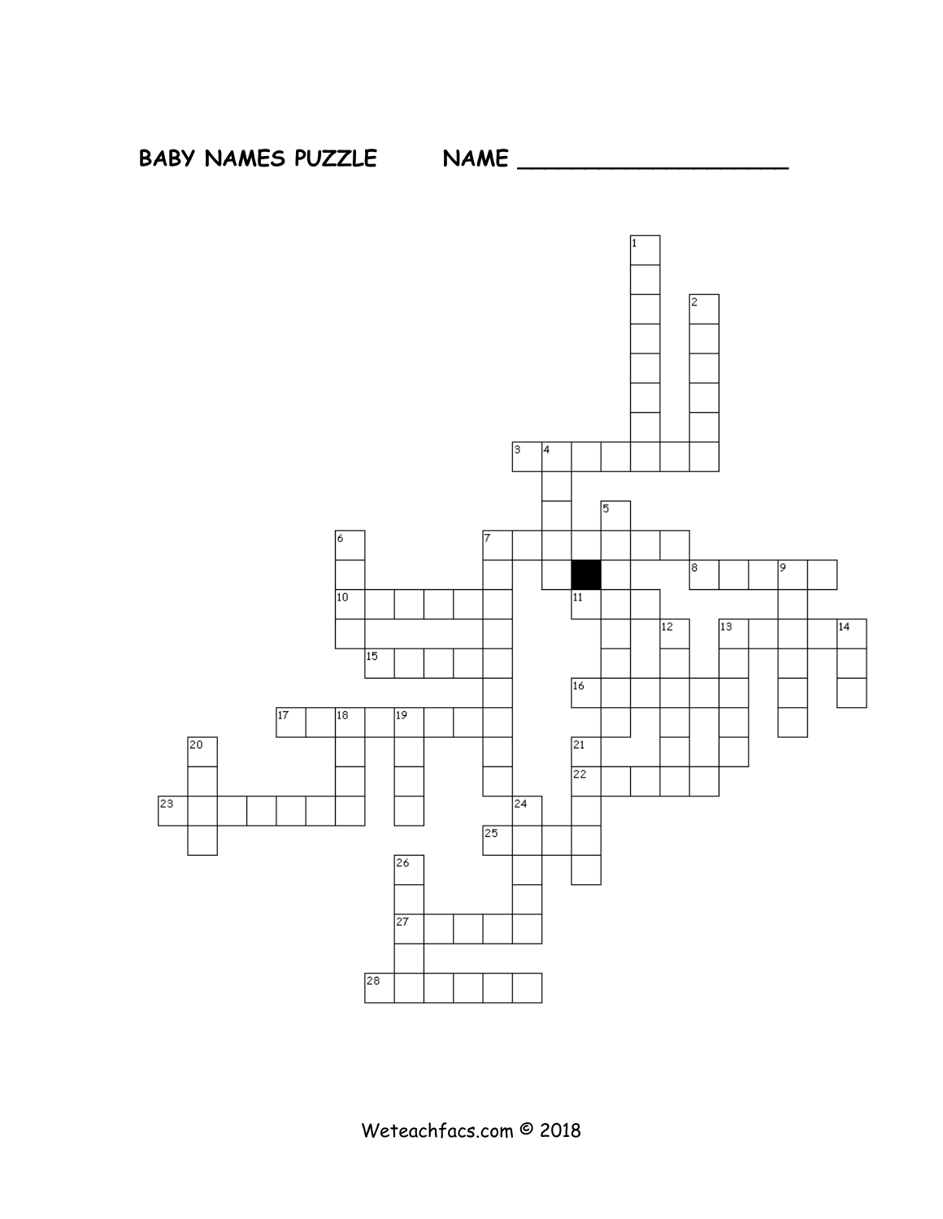

**BABY NAMES PUZZLE NAME \_\_\_\_\_\_\_\_\_\_\_\_\_\_\_\_\_\_\_\_**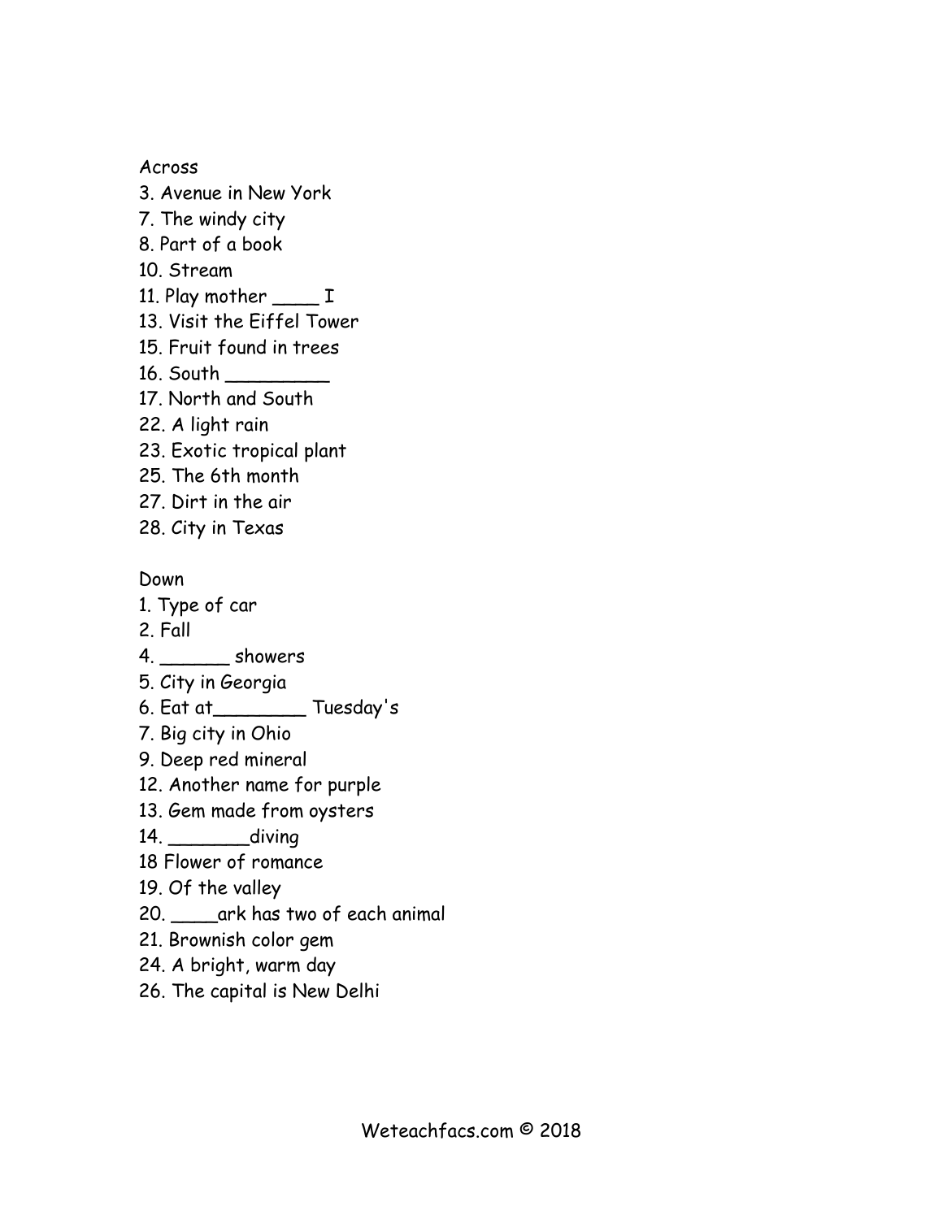Across

- 3. Avenue in New York
- 7. The windy city
- 8. Part of a book
- 10. Stream
- 11. Play mother \_\_\_\_\_ I
- 13. Visit the Eiffel Tower
- 15. Fruit found in trees
- 16. South \_\_\_\_\_\_\_\_\_
- 17. North and South
- 22. A light rain
- 23. Exotic tropical plant
- 25. The 6th month
- 27. Dirt in the air
- 28. City in Texas

Down

- 1. Type of car
- 2. Fall
- 4. Showers
- 5. City in Georgia
- 6. Eat at\_\_\_\_\_\_\_\_ Tuesday's
- 7. Big city in Ohio
- 9. Deep red mineral
- 12. Another name for purple
- 13. Gem made from oysters
- 14. \_\_\_\_\_\_\_\_\_\_diving
- 18 Flower of romance
- 19. Of the valley
- 20. \_\_\_\_ark has two of each animal
- 21. Brownish color gem
- 24. A bright, warm day
- 26. The capital is New Delhi